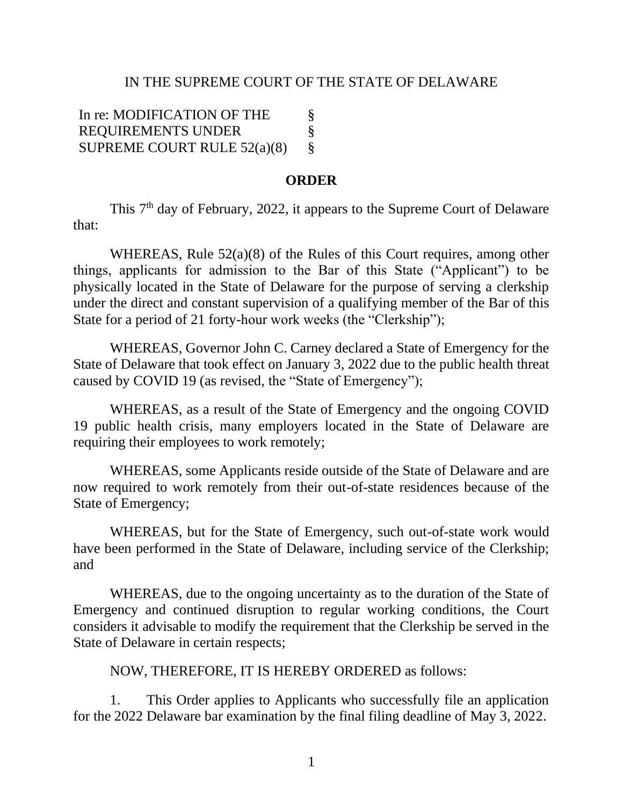## IN THE SUPREME COURT OF THE STATE OF DELAWARE

In re: MODIFICATION OF THE REQUIREMENTS UNDER SUPREME COURT RULE 52(a)(8) § § §

## **ORDER**

This 7<sup>th</sup> day of February, 2022, it appears to the Supreme Court of Delaware that:

WHEREAS, Rule 52(a)(8) of the Rules of this Court requires, among other things, applicants for admission to the Bar of this State ("Applicant") to be physically located in the State of Delaware for the purpose of serving a clerkship under the direct and constant supervision of a qualifying member of the Bar of this State for a period of 21 forty-hour work weeks (the "Clerkship");

WHEREAS, Governor John C. Carney declared a State of Emergency for the State of Delaware that took effect on January 3, 2022 due to the public health threat caused by COVID 19 (as revised, the "State of Emergency");

WHEREAS, as a result of the State of Emergency and the ongoing COVID 19 public health crisis, many employers located in the State of Delaware are requiring their employees to work remotely;

WHEREAS, some Applicants reside outside of the State of Delaware and are now required to work remotely from their out-of-state residences because of the State of Emergency;

WHEREAS, but for the State of Emergency, such out-of-state work would have been performed in the State of Delaware, including service of the Clerkship; and

WHEREAS, due to the ongoing uncertainty as to the duration of the State of Emergency and continued disruption to regular working conditions, the Court considers it advisable to modify the requirement that the Clerkship be served in the State of Delaware in certain respects;

NOW, THEREFORE, IT IS HEREBY ORDERED as follows:

1. This Order applies to Applicants who successfully file an application for the 2022 Delaware bar examination by the final filing deadline of May 3, 2022.